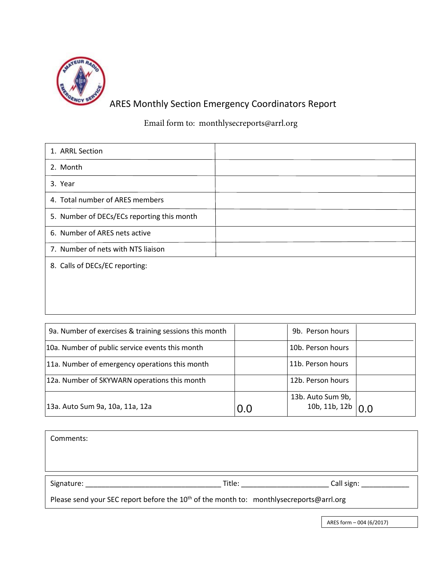

## ARES Monthly Section Emergency Coordinators Report

Email form to: monthlysecreports@arrl.org

| 1. ARRL Section                            |  |
|--------------------------------------------|--|
| 2. Month                                   |  |
| 3. Year                                    |  |
| 4. Total number of ARES members            |  |
| 5. Number of DECs/ECs reporting this month |  |
| 6. Number of ARES nets active              |  |
| 7. Number of nets with NTS liaison         |  |
| 8. Calls of DECs/EC reporting:             |  |
|                                            |  |
|                                            |  |

| 9a. Number of exercises & training sessions this month |     | 9b. Person hours  |  |
|--------------------------------------------------------|-----|-------------------|--|
| 10a. Number of public service events this month        |     | 10b. Person hours |  |
| 11a. Number of emergency operations this month         |     | 11b. Person hours |  |
| 12a. Number of SKYWARN operations this month           |     | 12b. Person hours |  |
|                                                        |     | 13b. Auto Sum 9b, |  |
| 13a. Auto Sum 9a, 10a, 11a, 12a                        | 0.0 | 10b, 11b, 12b     |  |

| Comments:                                                                                    |        |                          |
|----------------------------------------------------------------------------------------------|--------|--------------------------|
|                                                                                              |        |                          |
| Signature:                                                                                   | Title: | Call sign:               |
| Please send your SEC report before the $10^{th}$ of the month to: monthlysecreports@arrl.org |        |                          |
|                                                                                              |        | ARES form - 004 (6/2017) |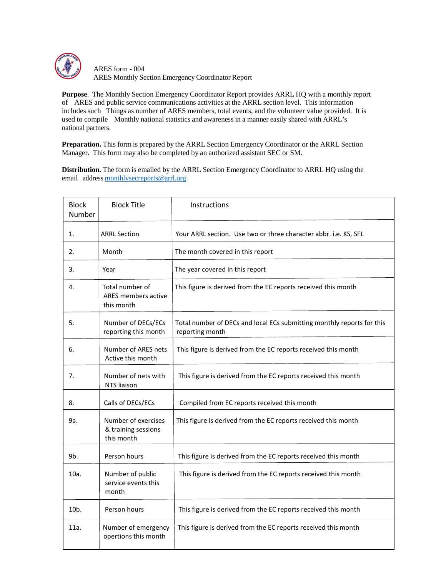

ARES form - 004 ARES Monthly Section Emergency Coordinator Report

**Purpose**. The Monthly Section Emergency Coordinator Report provides ARRL HQ with a monthly report of ARES and public service communications activities at the ARRL section level. This information includes such Things as number of ARES members, total events, and the volunteer value provided. It is used to compile Monthly national statistics and awareness in a manner easily shared with ARRL's national partners.

**Preparation.** This form is prepared by the ARRL Section Emergency Coordinator or the ARRL Section Manager. This form may also be completed by an authorized assistant SEC or SM.

**Distribution.** The form is emailed by the ARRL Section Emergency Coordinator to ARRL HQ using the email address [monthlysecreports@arrl.org](mailto:monthlysecreports@arrl.org)

| <b>Block</b><br>Number | <b>Block Title</b>                                       | Instructions                                                                              |  |
|------------------------|----------------------------------------------------------|-------------------------------------------------------------------------------------------|--|
| 1.                     | <b>ARRL Section</b>                                      | Your ARRL section. Use two or three character abbr. i.e. KS, SFL                          |  |
| 2.                     | Month                                                    | The month covered in this report                                                          |  |
| 3.                     | Year                                                     | The year covered in this report                                                           |  |
| 4.                     | Total number of<br>ARES members active<br>this month     | This figure is derived from the EC reports received this month                            |  |
| 5.                     | Number of DECs/ECs<br>reporting this month               | Total number of DECs and local ECs submitting monthly reports for this<br>reporting month |  |
| 6.                     | Number of ARES nets<br>Active this month                 | This figure is derived from the EC reports received this month                            |  |
| 7.                     | Number of nets with<br>NTS liaison                       | This figure is derived from the EC reports received this month                            |  |
| 8.                     | Calls of DECs/ECs                                        | Compiled from EC reports received this month                                              |  |
| 9a.                    | Number of exercises<br>& training sessions<br>this month | This figure is derived from the EC reports received this month                            |  |
| 9b.                    | Person hours                                             | This figure is derived from the EC reports received this month                            |  |
| 10a.                   | Number of public<br>service events this<br>month         | This figure is derived from the EC reports received this month                            |  |
| 10 <sub>b</sub> .      | Person hours                                             | This figure is derived from the EC reports received this month                            |  |
| 11a.                   | Number of emergency<br>opertions this month              | This figure is derived from the EC reports received this month                            |  |